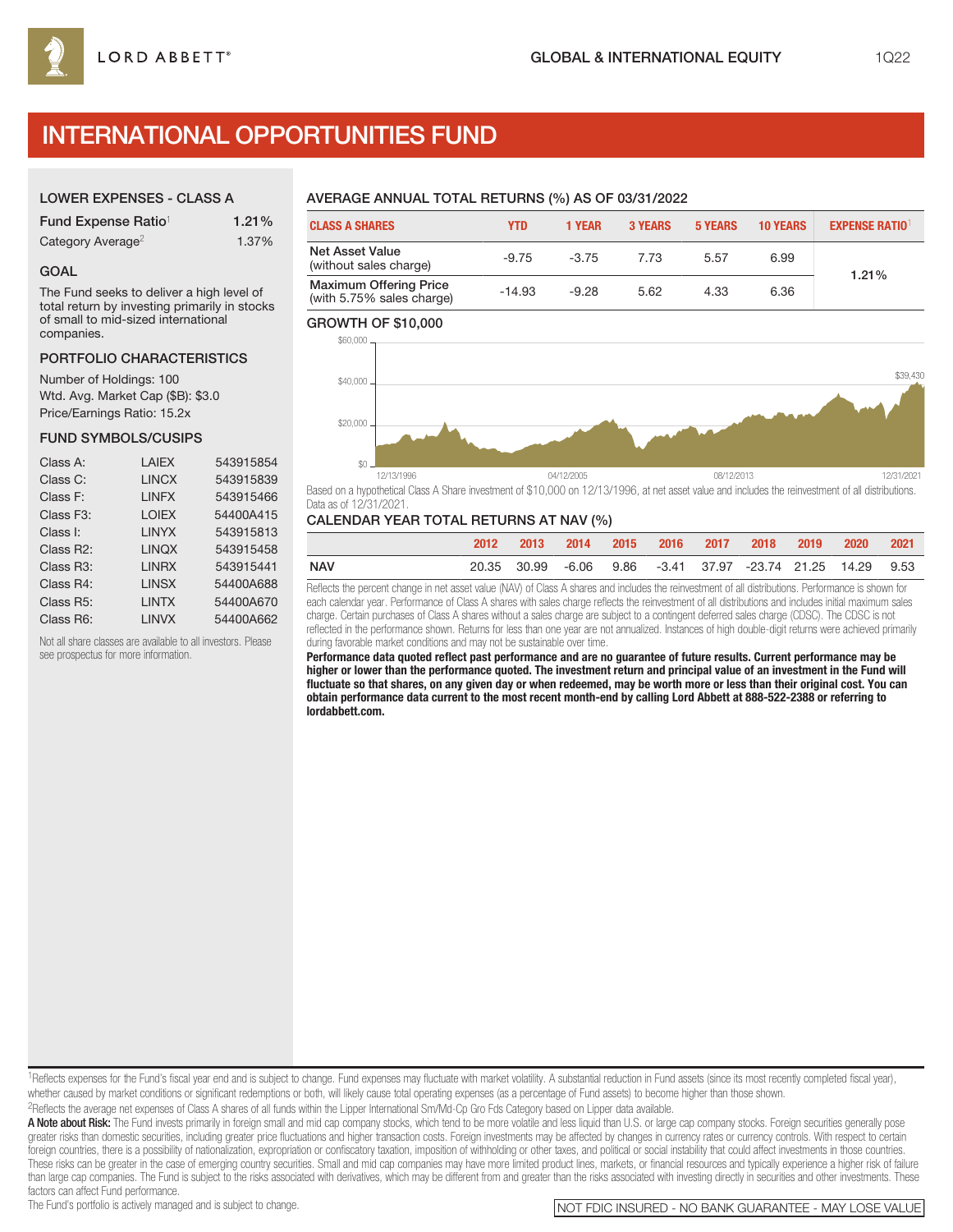# INTERNATIONAL OPPORTUNITIES FUND

## LOWER EXPENSES - CLASS A

| Fund Expense Ratio <sup>1</sup> | 1.21% |
|---------------------------------|-------|
| Category Average <sup>2</sup>   | 1.37% |

### GOAL

The Fund seeks to deliver a high level of total return by investing primarily in stocks of small to mid-sized international companies.

## PORTFOLIO CHARACTERISTICS

Number of Holdings: 100 Wtd. Avg. Market Cap (\$B): \$3.0 Price/Earnings Ratio: 15.2x

## FUND SYMBOLS/CUSIPS

| Class A:               | LAIEX        | 543915854 |
|------------------------|--------------|-----------|
| Class C:               | <b>LINCX</b> | 543915839 |
| Class F:               | <b>LINFX</b> | 543915466 |
| Class F <sub>3</sub> : | <b>LOIEX</b> | 54400A415 |
| Class I:               | <b>LINYX</b> | 543915813 |
| Class R2:              | <b>LINQX</b> | 543915458 |
| Class R3:              | <b>LINRX</b> | 543915441 |
| Class R4:              | <b>LINSX</b> | 54400A688 |
| Class R <sub>5</sub> : | <b>LINTX</b> | 54400A670 |
| Class R6:              | <b>LINVX</b> | 54400A662 |
|                        |              |           |

Not all share classes are available to all investors. Please see prospectus for more information.

## AVERAGE ANNUAL TOTAL RETURNS (%) AS OF 03/31/2022

| <b>CLASS A SHARES</b>                                      | YTD      | <b>1 YEAR</b> | <b>3 YEARS</b> | <b>5 YEARS</b> | <b>10 YEARS</b> | <b>EXPENSE RATIO<sup>1</sup></b> |  |
|------------------------------------------------------------|----------|---------------|----------------|----------------|-----------------|----------------------------------|--|
| <b>Net Asset Value</b><br>(without sales charge)           | $-9.75$  | $-3.75$       | 7.73           | 5.57           | 6.99            | 1.21%                            |  |
| <b>Maximum Offering Price</b><br>(with 5.75% sales charge) | $-14.93$ | $-9.28$       | 5.62           | 4.33           | 6.36            |                                  |  |

## GROWTH OF \$10,000



Based on a hypothetical Class A Share investment of \$10,000 on 12/13/1996, at net asset value and includes the reinvestment of all distributions. Data as of 12/31/2021.

## CALENDAR YEAR TOTAL RETURNS AT NAV (%)

|            | 2012 |             | 2013 2014 2015 2016 2017 2018 |  |                                                       | 2019 | 2020 2021 |  |
|------------|------|-------------|-------------------------------|--|-------------------------------------------------------|------|-----------|--|
| <b>NAV</b> |      | 20.35 30.99 |                               |  | -6.06  9.86  -3.41  37.97  -23.74  21.25  14.29  9.53 |      |           |  |

Reflects the percent change in net asset value (NAV) of Class A shares and includes the reinvestment of all distributions. Performance is shown for each calendar year. Performance of Class A shares with sales charge reflects the reinvestment of all distributions and includes initial maximum sales charge. Certain purchases of Class A shares without a sales charge are subject to a contingent deferred sales charge (CDSC). The CDSC is not reflected in the performance shown. Returns for less than one year are not annualized. Instances of high double-digit returns were achieved primarily during favorable market conditions and may not be sustainable over time.

**Performance data quoted reflect past performance and are no guarantee of future results. Current performance may be higher or lower than the performance quoted. The investment return and principal value of an investment in the Fund will fluctuate so that shares, on any given day or when redeemed, may be worth more or less than their original cost. You can obtain performance data current to the most recent month-end by calling Lord Abbett at 888-522-2388 or referring to lordabbett.com.**

1Reflects expenses for the Fund's fiscal year end and is subject to change. Fund expenses may fluctuate with market volatility. A substantial reduction in Fund assets (since its most recently completed fiscal year), whether caused by market conditions or significant redemptions or both, will likely cause total operating expenses (as a percentage of Fund assets) to become higher than those shown.

2Reflects the average net expenses of Class A shares of all funds within the Lipper International Sm/Md-Cp Gro Fds Category based on Lipper data available.

A Note about Risk: The Fund invests primarily in foreign small and mid cap company stocks, which tend to be more volatile and less liquid than U.S. or large cap company stocks. Foreign securities generally pose greater risks than domestic securities, including greater price fluctuations and higher transaction costs. Foreign investments may be affected by changes in currency rates or currency controls. With respect to certain foreion countries, there is a possibility of nationalization, expropriation or confiscatory taxation, imposition of withholding or other taxes, and political or social instability that could affect investments in those cou These risks can be greater in the case of emerging country securities. Small and mid cap companies may have more limited product lines, markets, or financial resources and typically experience a higher risk of failure than large cap companies. The Fund is subject to the risks associated with derivatives, which may be different from and greater than the risks associated with investing directly in securities and other investments. These

factors can affect Fund performance.<br>The Fund's portfolio is actively managed and is subject to change.